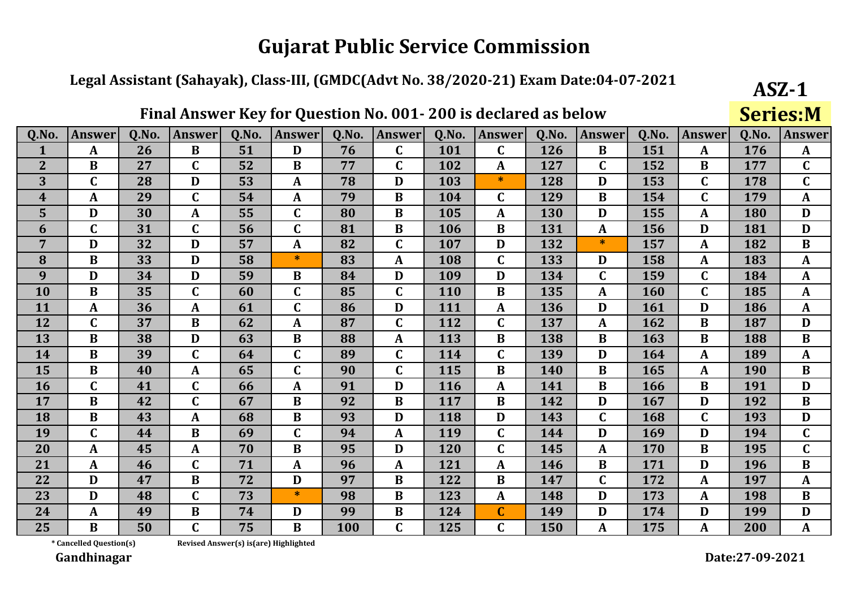#### Legal Assistant (Sahayak), Class-III, (GMDC(Advt No. 38/2020-21) Exam Date:04-07-2021

|                  |               |       | і піагліз ў Сілеў |       | <b>TOT GERMAN ISSUED</b> |       |                  |       | <b>200 is accidi cu as below</b> |       |               |       |                  |            | <b>DEI ICO'IAI</b> |
|------------------|---------------|-------|-------------------|-------|--------------------------|-------|------------------|-------|----------------------------------|-------|---------------|-------|------------------|------------|--------------------|
| Q.No.            | <b>Answer</b> | Q.No. | <b>Answer</b>     | Q.No. | <b>Answer</b>            | Q.No. | <b>Answer</b>    | Q.No. | <b>Answer</b>                    | Q.No. | <b>Answer</b> | Q.No. | <b>Answer</b>    | Q.No.      | <b>Answer</b>      |
|                  | $\mathbf{A}$  | 26    | $\bf{B}$          | 51    | D                        | 76    | $\mathbf C$      | 101   | $\mathbf C$                      | 126   | B             | 151   | A                | 176        | $\mathbf{A}$       |
| $\overline{2}$   | $\bf{B}$      | 27    | $\mathbf{C}$      | 52    | $\bf{B}$                 | 77    | $\mathbf C$      | 102   | $\mathbf{A}$                     | 127   | $\mathbf C$   | 152   | $\bf{B}$         | 177        | $\overline{C}$     |
| 3                | $\mathbf C$   | 28    | D                 | 53    | $\mathbf{A}$             | 78    | D                | 103   | $\ast$                           | 128   | D             | 153   | $\mathbf C$      | 178        | $\mathbf C$        |
| $\boldsymbol{4}$ | A             | 29    | $\mathbf C$       | 54    | $\mathbf{A}$             | 79    | B                | 104   | $\mathbf C$                      | 129   | $\bf{B}$      | 154   | $\mathbf C$      | 179        | $\mathbf{A}$       |
| 5                | D             | 30    | $\mathbf A$       | 55    | $\mathbf C$              | 80    | $\bf{B}$         | 105   | A                                | 130   | D             | 155   | A                | 180        | D                  |
| 6                | $\mathbf C$   | 31    | $\mathbf C$       | 56    | $\mathbf C$              | 81    | $\bf{B}$         | 106   | $\bf{B}$                         | 131   | $\mathbf{A}$  | 156   | $\mathbf D$      | 181        | $\mathbf D$        |
| $\overline{7}$   | D             | 32    | D                 | 57    | $\boldsymbol{A}$         | 82    | $\mathbf C$      | 107   | D                                | 132   | *             | 157   | A                | 182        | $\bf{B}$           |
| 8                | $\bf{B}$      | 33    | D                 | 58    | $\ast$                   | 83    | $\boldsymbol{A}$ | 108   | $\mathbf C$                      | 133   | D             | 158   | $\boldsymbol{A}$ | 183        | $\mathbf{A}$       |
| 9                | D             | 34    | D                 | 59    | $\bf{B}$                 | 84    | D                | 109   | D                                | 134   | $\mathbf C$   | 159   | $\mathbf C$      | 184        | $\mathbf{A}$       |
| 10               | $\bf{B}$      | 35    | $\mathbf C$       | 60    | $\mathbf C$              | 85    | $\mathbf C$      | 110   | B                                | 135   | $\mathbf{A}$  | 160   | $\mathbf C$      | 185        | $\mathbf{A}$       |
| 11               | $\mathbf{A}$  | 36    | ${\bf A}$         | 61    | $\mathbf C$              | 86    | $\mathbf{D}$     | 111   | A                                | 136   | D             | 161   | $\mathbf{D}$     | 186        | A                  |
| 12               | $\mathbf C$   | 37    | $\bf{B}$          | 62    | $\boldsymbol{A}$         | 87    | $\mathbf C$      | 112   | $\mathbf C$                      | 137   | $\mathbf A$   | 162   | $\bf{B}$         | 187        | D                  |
| 13               | B             | 38    | D                 | 63    | $\bf{B}$                 | 88    | A                | 113   | B                                | 138   | B             | 163   | B                | 188        | $\bf{B}$           |
| 14               | $\bf{B}$      | 39    | $\mathbf C$       | 64    | $\mathbf C$              | 89    | $\mathbf C$      | 114   | $\mathbf C$                      | 139   | D             | 164   | $\boldsymbol{A}$ | 189        | $\mathbf{A}$       |
| 15               | $\bf{B}$      | 40    | ${\bf A}$         | 65    | $\mathbf C$              | 90    | $\mathbf C$      | 115   | $\bf{B}$                         | 140   | $\bf{B}$      | 165   | $\mathbf{A}$     | <b>190</b> | $\bf{B}$           |
| 16               | $\mathbf C$   | 41    | $\mathbf C$       | 66    | $\mathbf{A}$             | 91    | D                | 116   | A                                | 141   | $\bf{B}$      | 166   | $\bf{B}$         | 191        | D                  |
| 17               | $\bf{B}$      | 42    | $\mathbf C$       | 67    | $\bf{B}$                 | 92    | $\bf{B}$         | 117   | B                                | 142   | D             | 167   | D                | 192        | $\bf{B}$           |
| 18               | $\bf{B}$      | 43    | $\mathbf A$       | 68    | $\bf{B}$                 | 93    | D                | 118   | D                                | 143   | $\mathbf C$   | 168   | $\mathbf C$      | 193        | D                  |
| 19               | $\mathbf C$   | 44    | $\bf{B}$          | 69    | $\mathbf C$              | 94    | A                | 119   | $\mathbf C$                      | 144   | D             | 169   | D                | 194        | $\mathbf C$        |
| 20               | $\mathbf{A}$  | 45    | ${\bf A}$         | 70    | $\bf{B}$                 | 95    | D                | 120   | $\mathbf C$                      | 145   | $\mathbf{A}$  | 170   | $\bf{B}$         | 195        | $\mathbf C$        |
| 21               | $\mathbf A$   | 46    | $\mathbf C$       | 71    | $\mathbf{A}$             | 96    | $\mathbf{A}$     | 121   | $\boldsymbol{A}$                 | 146   | $\bf{B}$      | 171   | D                | 196        | $\bf{B}$           |
| 22               | D             | 47    | $\bf{B}$          | 72    | D                        | 97    | B                | 122   | B                                | 147   | $\mathbf C$   | 172   | A                | 197        | A                  |
| 23               | D             | 48    | $\mathbf{C}$      | 73    | $\ast$                   | 98    | $\bf{B}$         | 123   | A                                | 148   | D             | 173   | A                | 198        | $\bf{B}$           |
| 24               | $\mathbf A$   | 49    | $\bf{B}$          | 74    | D                        | 99    | B                | 124   | $\mathbf C$                      | 149   | D             | 174   | D                | 199        | D                  |
| 25               | $\bf{B}$      | 50    | $\mathbf C$       | 75    | B                        | 100   | $\mathbf C$      | 125   | $\mathbf C$                      | 150   |               | 175   | A                | 200        | A                  |

Final Answer Key for Question No. 001. 200 is declared as helow

\* Cancelled Question(s)

Revised Answer(s) is(are) Highlighted

Gandhinagar

 $ASZ-1$ 

**Corioc.M**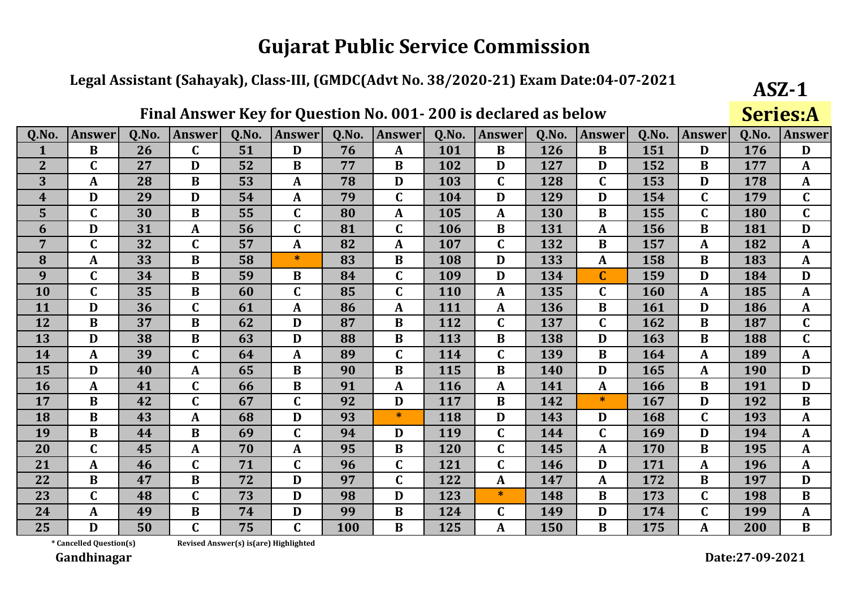#### Legal Assistant (Sahayak), Class-III, (GMDC(Advt No. 38/2020-21) Exam Date:04-07-2021

|                  |                  |       | 1 11111 11113WC1 | $\mathbf{IV}$ | 1VI           | <b>Zucation</b> | <u>vvi</u>    | 20013      | uccial cu as below |       |               |       |               |       | <u>JCI ICJIH</u> |
|------------------|------------------|-------|------------------|---------------|---------------|-----------------|---------------|------------|--------------------|-------|---------------|-------|---------------|-------|------------------|
| Q.No.            | <b>Answer</b>    | Q.No. | <b>Answer</b>    | Q.No.         | <b>Answer</b> | Q.No.           | <b>Answer</b> | Q.No.      | <b>Answer</b>      | Q.No. | <b>Answer</b> | Q.No. | <b>Answer</b> | Q.No. | <b>Answer</b>    |
| $\mathbf{1}$     | $\bf{B}$         | 26    | $\mathbf C$      | 51            | D             | 76              | A             | 101        | B                  | 126   | B             | 151   | D             | 176   | D                |
| $\overline{2}$   | $\mathbf C$      | 27    | D                | 52            | $\bf{B}$      | 77              | $\bf{B}$      | 102        | D                  | 127   | D             | 152   | B             | 177   | $\mathbf{A}$     |
| 3                | $\mathbf{A}$     | 28    | B                | 53            | A             | 78              | D             | 103        | $\mathbf C$        | 128   | $\mathbf C$   | 153   | D             | 178   | $\mathbf{A}$     |
| $\boldsymbol{4}$ | D                | 29    | D                | 54            | $\mathbf{A}$  | 79              | $\mathbf C$   | 104        | D                  | 129   | D             | 154   | $\mathbf C$   | 179   | $\mathbf C$      |
| 5                | $\mathbf C$      | 30    | $\bf{B}$         | 55            | $\mathbf C$   | 80              | $\mathbf{A}$  | 105        | A                  | 130   | $\bf{B}$      | 155   | $\mathbf C$   | 180   | $\mathbf C$      |
| 6                | D                | 31    | $\mathbf A$      | 56            | $\mathbf C$   | 81              | $\mathbf C$   | 106        | $\bf{B}$           | 131   | A             | 156   | $\bf{B}$      | 181   | D                |
| 7                | $\mathbf C$      | 32    | $\mathbf C$      | 57            | $\mathbf{A}$  | 82              | A             | 107        | $\mathbf C$        | 132   | B             | 157   | A             | 182   | $\mathbf{A}$     |
| 8                | A                | 33    | $\bf{B}$         | 58            | $\ast$        | 83              | $\bf{B}$      | 108        | D                  | 133   | A             | 158   | B             | 183   | $\mathbf{A}$     |
| 9                | $\mathbf C$      | 34    | $\bf{B}$         | 59            | $\bf{B}$      | 84              | $\mathbf C$   | 109        | D                  | 134   | $\mathbf C$   | 159   | D             | 184   | D                |
| 10               | $\mathbf C$      | 35    | $\bf{B}$         | 60            | $\mathbf C$   | 85              | $\mathbf C$   | <b>110</b> | A                  | 135   | $\mathbf C$   | 160   | A             | 185   | A                |
| 11               | D                | 36    | $\mathbf C$      | 61            | $\mathbf{A}$  | 86              | A             | 111        | A                  | 136   | $\bf{B}$      | 161   | D             | 186   | $\mathbf{A}$     |
| 12               | $\bf{B}$         | 37    | $\bf{B}$         | 62            | D             | 87              | $\bf{B}$      | 112        | $\mathbf C$        | 137   | C             | 162   | $\bf{B}$      | 187   | $\mathbf C$      |
| 13               | D                | 38    | $\bf{B}$         | 63            | D             | 88              | B             | 113        | B                  | 138   | D             | 163   | $\bf{B}$      | 188   | $\mathbf C$      |
| 14               | $\boldsymbol{A}$ | 39    | $\mathbf C$      | 64            | $\mathbf{A}$  | 89              | $\mathbf C$   | 114        | $\mathbf C$        | 139   | $\bf{B}$      | 164   | A             | 189   | $\mathbf{A}$     |
| 15               | D                | 40    | $\mathbf{A}$     | 65            | $\bf{B}$      | 90              | $\bf{B}$      | 115        | $\bf{B}$           | 140   | D             | 165   | $\mathbf{A}$  | 190   | D                |
| <b>16</b>        | A                | 41    | $\mathbf C$      | 66            | $\bf{B}$      | 91              | A             | <b>116</b> | A                  | 141   | A             | 166   | B             | 191   | D                |
| 17               | $\bf{B}$         | 42    | $\mathbf C$      | 67            | $\mathbf C$   | 92              | D             | 117        | B                  | 142   | $\ast$        | 167   | D             | 192   | $\bf{B}$         |
| 18               | $\bf{B}$         | 43    | $\mathbf A$      | 68            | D             | 93              | $\ast$        | 118        | D                  | 143   | D             | 168   | $\mathbf C$   | 193   | $\mathbf{A}$     |
| 19               | $\bf{B}$         | 44    | $\bf{B}$         | 69            | $\mathbf C$   | 94              | D             | 119        | $\mathbf C$        | 144   | C             | 169   | D             | 194   | $\mathbf{A}$     |
| 20               | $\mathbf C$      | 45    | $\mathbf{A}$     | 70            | $\mathbf{A}$  | 95              | $\bf{B}$      | 120        | $\mathbf C$        | 145   | A             | 170   | $\bf{B}$      | 195   | $\mathbf A$      |
| 21               | $\boldsymbol{A}$ | 46    | $\mathbf C$      | 71            | $\mathbf C$   | 96              | $\mathbf C$   | 121        | $\mathbf C$        | 146   | D             | 171   | A             | 196   | $\mathbf{A}$     |
| 22               | $\bf{B}$         | 47    | $\bf{B}$         | 72            | D             | 97              | $\mathbf C$   | 122        | $\mathbf{A}$       | 147   | A             | 172   | B             | 197   | D                |
| 23               | $\mathbf C$      | 48    | $\mathbf C$      | 73            | D             | 98              | D             | 123        | $\ast$             | 148   | $\bf{B}$      | 173   | $\mathbf C$   | 198   | $\bf{B}$         |
| 24               | $\mathbf A$      | 49    | $\bf{B}$         | 74            | D             | 99              | B             | 124        | $\mathbf C$        | 149   | D             | 174   | $\mathbf C$   | 199   | $\mathbf A$      |
| 25               | D                | 50    | $\mathbf C$      | 75            | $\mathbf C$   | 100             | B             | 125        | A                  | 150   | B             | 175   | A             | 200   | B                |

Final Answer Key for Question No. 001. 200 is declared as helow

\* Cancelled Question(s)

Revised Answer(s) is(are) Highlighted

Gandhinagar

 $ASZ-1$ 

 $Conior<sub>0</sub>$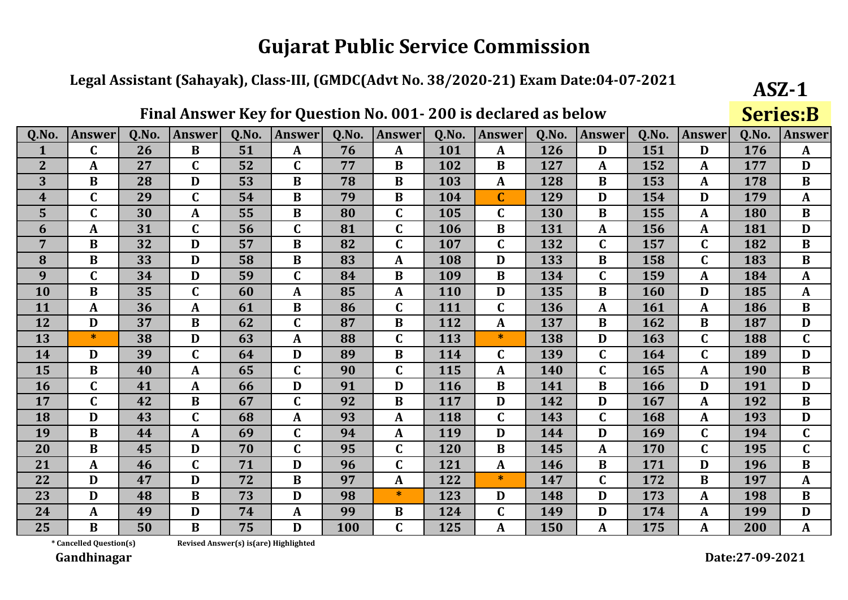#### Legal Assistant (Sahayak), Class-III, (GMDC(Advt No. 38/2020-21) Exam Date:04-07-2021

|                  |               |       |              |       | Thial Allowel INCy TOT QUESTION NO. OUT- 200 IS UCCIALED AS DEIUW |       |              |       |               |       |               |       |                  |       | <b>PELIC9.D</b> |
|------------------|---------------|-------|--------------|-------|-------------------------------------------------------------------|-------|--------------|-------|---------------|-------|---------------|-------|------------------|-------|-----------------|
| Q.No.            | <b>Answer</b> | Q.No. | Answer       | Q.No. | <b>Answer</b>                                                     | Q.No. | Answer       | Q.No. | <b>Answer</b> | Q.No. | <b>Answer</b> | Q.No. | Answer           | Q.No. | Answer          |
|                  | $\mathbf C$   | 26    | $\bf{B}$     | 51    | A                                                                 | 76    | A            | 101   | A             | 126   | D             | 151   | D                | 176   | $\mathbf{A}$    |
| $\overline{2}$   | A             | 27    | $\mathbf C$  | 52    | $\mathbf C$                                                       | 77    | $\bf{B}$     | 102   | $\bf{B}$      | 127   | A             | 152   | A                | 177   | $\mathbf{D}$    |
| 3                | $\bf{B}$      | 28    | $\mathbf D$  | 53    | $\bf{B}$                                                          | 78    | $\bf{B}$     | 103   | $\mathbf{A}$  | 128   | $\bf{B}$      | 153   | $\mathbf{A}$     | 178   | $\bf{B}$        |
| $\boldsymbol{4}$ | $\mathbf C$   | 29    | $\mathbf C$  | 54    | $\bf{B}$                                                          | 79    | $\bf{B}$     | 104   | $\mathbf C$   | 129   | D             | 154   | D                | 179   | $\mathbf{A}$    |
| 5                | $\mathbf C$   | 30    | A            | 55    | $\bf{B}$                                                          | 80    | C            | 105   | $\mathbf C$   | 130   | $\bf{B}$      | 155   | $\mathbf{A}$     | 180   | $\bf{B}$        |
| 6                | A             | 31    | $\mathbf C$  | 56    | $\mathbf C$                                                       | 81    | $\mathbf C$  | 106   | B             | 131   | $\mathbf{A}$  | 156   | $\mathbf{A}$     | 181   | D               |
| $\overline{7}$   | $\bf{B}$      | 32    | D            | 57    | $\, {\bf B}$                                                      | 82    | $\mathbf C$  | 107   | $\mathbf C$   | 132   | $\mathbf C$   | 157   | $\mathbf C$      | 182   | $\bf{B}$        |
| 8                | $\bf{B}$      | 33    | D            | 58    | $\mathbf B$                                                       | 83    | $\mathbf{A}$ | 108   | D             | 133   | $\bf{B}$      | 158   | $\mathbf C$      | 183   | $\bf{B}$        |
| 9                | $\mathbf C$   | 34    | D            | 59    | $\mathbf C$                                                       | 84    | $\bf{B}$     | 109   | $\bf{B}$      | 134   | $\mathbf C$   | 159   | $\boldsymbol{A}$ | 184   | $\mathbf{A}$    |
| 10               | $\bf{B}$      | 35    | $\mathbf C$  | 60    | $\boldsymbol{A}$                                                  | 85    | $\mathbf A$  | 110   | D             | 135   | $\bf{B}$      | 160   | D                | 185   | $\mathbf{A}$    |
| 11               | $\mathbf{A}$  | 36    | $\mathbf{A}$ | 61    | $\bf{B}$                                                          | 86    | C            | 111   | $\mathbf C$   | 136   | $\mathbf{A}$  | 161   | $\mathbf{A}$     | 186   | $\bf{B}$        |
| 12               | D             | 37    | $\bf{B}$     | 62    | $\mathbf C$                                                       | 87    | $\bf{B}$     | 112   | A             | 137   | $\bf{B}$      | 162   | $\bf{B}$         | 187   | D               |
| 13               | $\ast$        | 38    | D            | 63    | $\boldsymbol{A}$                                                  | 88    | $\mathbf C$  | 113   | $\ast$        | 138   | D             | 163   | $\mathbf C$      | 188   | $\mathbf C$     |
| 14               | D             | 39    | $\mathbf C$  | 64    | D                                                                 | 89    | $\bf{B}$     | 114   | $\mathbf C$   | 139   | $\mathbf C$   | 164   | $\mathbf C$      | 189   | D               |
| 15               | $\bf{B}$      | 40    | $\mathbf{A}$ | 65    | $\mathbf C$                                                       | 90    | $\mathbf C$  | 115   | $\mathbf{A}$  | 140   | $\mathbf C$   | 165   | $\mathbf{A}$     | 190   | $\bf{B}$        |
| 16               | $\mathbf C$   | 41    | $\mathbf A$  | 66    | D                                                                 | 91    | D            | 116   | $\bf{B}$      | 141   | $\bf{B}$      | 166   | D                | 191   | D               |
| 17               | $\mathbf C$   | 42    | B            | 67    | $\mathbf C$                                                       | 92    | B            | 117   | D             | 142   | D             | 167   | $\mathbf{A}$     | 192   | $\bf{B}$        |
| 18               | D             | 43    | $\mathbf C$  | 68    | A                                                                 | 93    | $\mathbf A$  | 118   | $\mathbf C$   | 143   | $\mathbf C$   | 168   | $\mathbf{A}$     | 193   | D               |
| 19               | $\bf{B}$      | 44    | A            | 69    | $\mathbf C$                                                       | 94    | $\mathbf{A}$ | 119   | D             | 144   | D             | 169   | $\mathbf C$      | 194   | $\overline{C}$  |
| 20               | $\bf{B}$      | 45    | D            | 70    | $\mathbf C$                                                       | 95    | $\mathbf C$  | 120   | $\bf{B}$      | 145   | A             | 170   | $\mathbf C$      | 195   | $\mathbf C$     |
| 21               | $\mathbf A$   | 46    | $\mathbf C$  | 71    | D                                                                 | 96    | $\mathbf C$  | 121   | $\mathbf{A}$  | 146   | $\bf{B}$      | 171   | D                | 196   | $\bf{B}$        |
| 22               | D             | 47    | D            | 72    | $\bf{B}$                                                          | 97    | $\mathbf A$  | 122   | $\ast$        | 147   | $\mathbf C$   | 172   | $\bf{B}$         | 197   | $\mathbf{A}$    |
| 23               | D             | 48    | $\bf{B}$     | 73    | D                                                                 | 98    | $\ast$       | 123   | D             | 148   | D             | 173   | $\mathbf{A}$     | 198   | $\bf{B}$        |
| 24               | $\mathbf{A}$  | 49    | D            | 74    | $\mathbf{A}$                                                      | 99    | $\bf{B}$     | 124   | $\mathbf C$   | 149   | D             | 174   | $\boldsymbol{A}$ | 199   | D               |
| 25               | B             | 50    | $\bf{B}$     | 75    | D                                                                 | 100   | C            | 125   | A             | 150   |               | 175   | A                | 200   | A               |

Final Answer Key for Question No. 001. 200 is declared as helow

\* Cancelled Question(s)

Revised Answer(s) is(are) Highlighted

Gandhinagar

Date:27-09-2021

 $ASZ-1$ 

 $C<sub>orior</sub> D$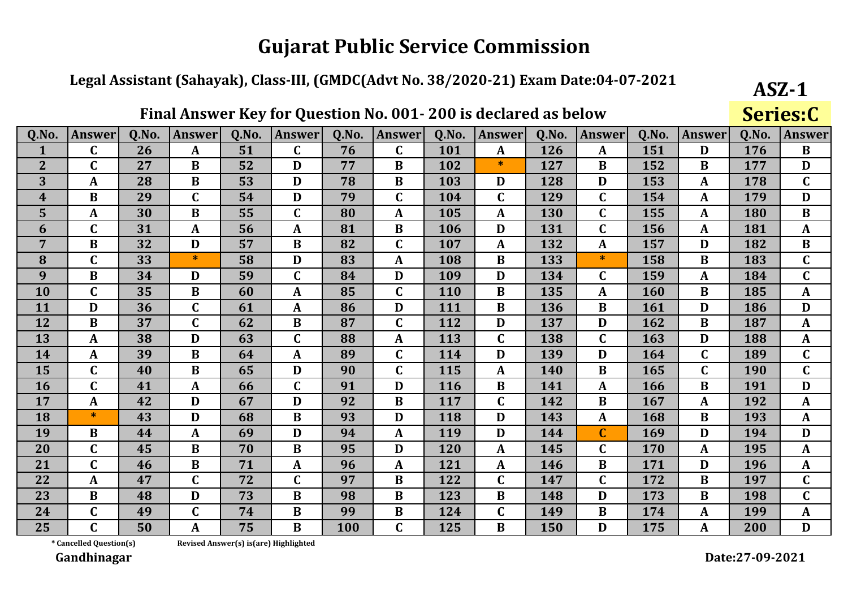#### Legal Assistant (Sahayak), Class-III, (GMDC(Advt No. 38/2020-21) Exam Date:04-07-2021

|                  |               |       | <u>THUI THISWCI</u> | $\mathbf{IV}$ | 1VI.             | <b>Question</b> | <u>vvi</u>    | 20013      | uccial cu as below |       |               |            |                  |       | <b>DETICO'L</b> |
|------------------|---------------|-------|---------------------|---------------|------------------|-----------------|---------------|------------|--------------------|-------|---------------|------------|------------------|-------|-----------------|
| Q.No.            | <b>Answer</b> | Q.No. | Answer              | Q.No.         | <b>Answer</b>    | 0.No.           | <b>Answer</b> | Q.No.      | <b>Answer</b>      | Q.No. | <b>Answer</b> | Q.No.      | <b>Answer</b>    | Q.No. | <b>Answer</b>   |
|                  | $\mathbf C$   | 26    | A                   | 51            | $\mathbf C$      | 76              | $\mathbf C$   | 101        | $\mathbf{A}$       | 126   | A             | 151        | D                | 176   | $\bf{B}$        |
| $\overline{2}$   | $\mathbf C$   | 27    | $\bf{B}$            | 52            | D                | 77              | $\bf{B}$      | 102        | $\ast$             | 127   | $\bf{B}$      | 152        | $\bf{B}$         | 177   | $\mathbf{D}$    |
| 3                | $\mathbf A$   | 28    | $\bf{B}$            | 53            | D                | 78              | $\bf{B}$      | 103        | D                  | 128   | D             | 153        | A                | 178   | $\mathbf C$     |
| $\boldsymbol{4}$ | $\bf{B}$      | 29    | $\mathbf C$         | 54            | D                | 79              | $\mathbf C$   | 104        | $\mathbf C$        | 129   | $\mathbf C$   | 154        | A                | 179   | D               |
| 5                | $\mathbf A$   | 30    | $\bf{B}$            | 55            | $\mathbf C$      | 80              | $\mathbf A$   | 105        | A                  | 130   | C             | 155        | $\mathbf{A}$     | 180   | $\bf{B}$        |
| 6                | $\mathbf C$   | 31    | A                   | 56            | A                | 81              | $\bf{B}$      | 106        | D                  | 131   | $\mathbf C$   | 156        | $\boldsymbol{A}$ | 181   | $\mathbf{A}$    |
| $\overline{7}$   | $\bf{B}$      | 32    | D                   | 57            | $\bf{B}$         | 82              | $\mathbf C$   | 107        | $\boldsymbol{A}$   | 132   | A             | 157        | D                | 182   | $\bf{B}$        |
| 8                | $\mathbf C$   | 33    | $\ast$              | 58            | D                | 83              | $\mathbf{A}$  | 108        | $\bf{B}$           | 133   | $\ast$        | 158        | $\bf{B}$         | 183   | $\mathbf C$     |
| 9                | $\bf{B}$      | 34    | D                   | 59            | $\mathbf C$      | 84              | D             | 109        | D                  | 134   | $\mathbf C$   | 159        | A                | 184   | $\mathbf C$     |
| 10               | $\mathbf C$   | 35    | B                   | 60            | A                | 85              | $\mathbf C$   | <b>110</b> | B                  | 135   | A             | <b>160</b> | B                | 185   | A               |
| 11               | D             | 36    | $\mathbf C$         | 61            | $\mathbf{A}$     | 86              | D             | 111        | $\bf{B}$           | 136   | B             | 161        | D                | 186   | D               |
| 12               | $\bf{B}$      | 37    | $\mathbf C$         | 62            | $\bf{B}$         | 87              | $\mathbf C$   | 112        | D                  | 137   | D             | 162        | $\bf{B}$         | 187   | A               |
| 13               | A             | 38    | D                   | 63            | $\mathbf C$      | 88              | $\mathbf{A}$  | 113        | $\mathbf C$        | 138   | $\mathbf C$   | 163        | D                | 188   | $\mathbf{A}$    |
| 14               | $\mathbf{A}$  | 39    | $\bf{B}$            | 64            | $\mathbf{A}$     | 89              | $\mathbf C$   | 114        | D                  | 139   | D             | 164        | $\mathbf C$      | 189   | $\mathbf C$     |
| 15               | $\mathbf C$   | 40    | $\bf{B}$            | 65            | D                | 90              | $\mathbf C$   | 115        | $\boldsymbol{A}$   | 140   | B             | 165        | $\mathbf C$      | 190   | $\mathbf C$     |
| 16               | $\mathbf C$   | 41    | A                   | 66            | $\mathbf C$      | 91              | D             | <b>116</b> | B                  | 141   | $\mathbf{A}$  | 166        | $\bf{B}$         | 191   | D               |
| 17               | $\mathbf{A}$  | 42    | D                   | 67            | D                | 92              | $\bf{B}$      | 117        | $\mathbf C$        | 142   | B             | 167        | A                | 192   | $\mathbf{A}$    |
| 18               | $*$           | 43    | D                   | 68            | $\bf{B}$         | 93              | D             | 118        | D                  | 143   | A             | 168        | $\bf{B}$         | 193   | $\mathbf{A}$    |
| 19               | B             | 44    | A                   | 69            | D                | 94              | $\mathbf A$   | 119        | D                  | 144   | $\mathbf C$   | 169        | D                | 194   | D               |
| 20               | $\mathbf C$   | 45    | $\bf{B}$            | 70            | $\mathbf{B}$     | 95              | D             | 120        | $\mathbf{A}$       | 145   | $\mathbf C$   | 170        | A                | 195   | $\mathbf{A}$    |
| 21               | $\mathbf C$   | 46    | $\bf{B}$            | 71            | $\boldsymbol{A}$ | 96              | $\mathbf{A}$  | 121        | $\boldsymbol{A}$   | 146   | $\bf{B}$      | 171        | D                | 196   | $\mathbf{A}$    |
| 22               | $\mathbf{A}$  | 47    | $\mathbf C$         | 72            | $\mathbf C$      | 97              | $\bf{B}$      | 122        | $\mathbf C$        | 147   | C             | 172        | B                | 197   | $\mathbf C$     |
| 23               | $\bf{B}$      | 48    | D                   | 73            | $\bf{B}$         | 98              | $\bf{B}$      | 123        | $\bf{B}$           | 148   | D             | 173        | $\bf{B}$         | 198   | $\mathbf C$     |
| 24               | $\mathbf C$   | 49    | $\mathbf C$         | 74            | $\bf{B}$         | 99              | B             | 124        | $\mathbf C$        | 149   | B             | 174        | A                | 199   | A               |
| 25               | C             | 50    | A                   | 75            | B                | 100             | C             | 125        | B                  | 150   | D             | 175        | A                | 200   | D               |

Final Answer Key for Question No. 001-200 is declared as helow

\* Cancelled Question(s)

Revised Answer(s) is(are) Highlighted

Gandhinagar

 $ASZ-1$ 

 $CariacC$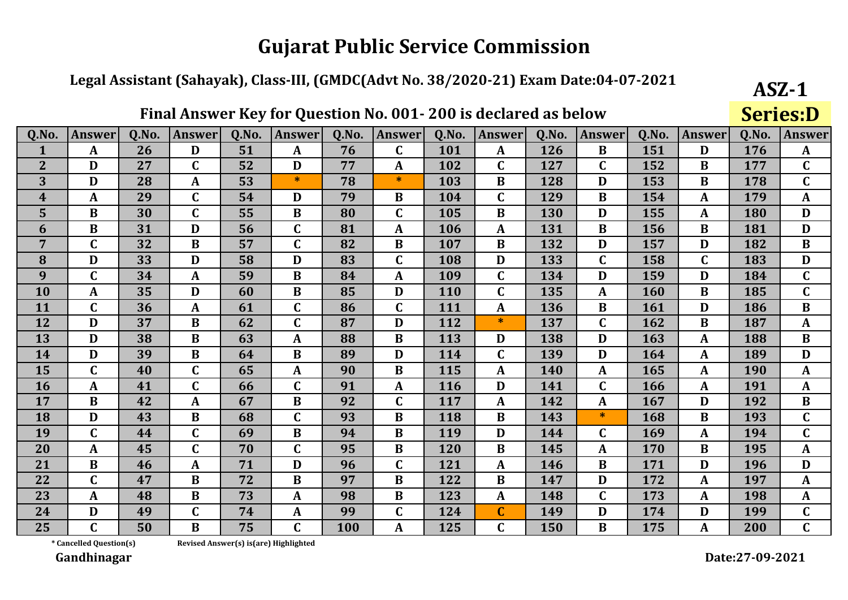#### Legal Assistant (Sahayak), Class-III, (GMDC(Advt No. 38/2020-21) Exam Date:04-07-2021

|                  |               |       | 1 11111 11111 11 U | $\mathbf{IV}$ | 1VI.<br><b>Zucher</b> |       |              |            | tiul cu          | <b>UP DEIGHT</b> |               |       |                  |       | JLILJID       |
|------------------|---------------|-------|--------------------|---------------|-----------------------|-------|--------------|------------|------------------|------------------|---------------|-------|------------------|-------|---------------|
| Q.No.            | <b>Answer</b> | Q.No. | <b>Answer</b>      | Q.No.         | <b>Answer</b>         | 0.No. | Answer       | Q.No.      | <b>Answer</b>    | Q.No.            | <b>Answer</b> | Q.No. | <b>Answer</b>    | Q.No. | <b>Answer</b> |
|                  | A             | 26    | D                  | 51            | $\mathbf{A}$          | 76    | $\mathbf C$  | 101        | $\mathbf{A}$     | 126              | B             | 151   | D                | 176   | $\mathbf{A}$  |
| $\overline{2}$   | D             | 27    | $\mathbf C$        | 52            | D                     | 77    | $\mathbf{A}$ | 102        | $\mathbf C$      | 127              | $\mathbf C$   | 152   | B                | 177   | $\mathbf C$   |
| 3                | D             | 28    | A                  | 53            | $\ast$                | 78    | $\ast$       | 103        | B                | 128              | D             | 153   | B                | 178   | $\mathbf C$   |
| $\boldsymbol{4}$ | $\mathbf{A}$  | 29    | $\mathbf C$        | 54            | D                     | 79    | B            | 104        | $\mathbf C$      | 129              | B             | 154   | A                | 179   | $\mathbf{A}$  |
| 5                | $\bf{B}$      | 30    | $\mathbf C$        | 55            | $\bf{B}$              | 80    | $\mathbf C$  | 105        | $\bf{B}$         | 130              | D             | 155   | A                | 180   | D             |
| 6                | $\mathbf{B}$  | 31    | D                  | 56            | $\mathbf C$           | 81    | $\mathbf{A}$ | 106        | $\mathbf{A}$     | 131              | $\bf{B}$      | 156   | $\bf{B}$         | 181   | $\mathbf{D}$  |
| $\overline{7}$   | $\mathbf C$   | 32    | $\bf{B}$           | 57            | $\mathbf C$           | 82    | $\bf{B}$     | 107        | $\bf{B}$         | 132              | D             | 157   | D                | 182   | $\bf{B}$      |
| 8                | D             | 33    | D                  | 58            | D                     | 83    | $\mathbf C$  | 108        | D                | 133              | $\mathbf C$   | 158   | $\mathbf C$      | 183   | $\mathbf{D}$  |
| 9                | $\mathbf C$   | 34    | $\mathbf A$        | 59            | $\bf{B}$              | 84    | A            | 109        | $\mathbf C$      | 134              | D             | 159   | D                | 184   | $\mathbf C$   |
| 10               | A             | 35    | D                  | 60            | B                     | 85    | D            | <b>110</b> | $\mathbf C$      | 135              | A             | 160   | B                | 185   | $\mathbf C$   |
| 11               | $\mathbf C$   | 36    | A                  | 61            | $\mathbf C$           | 86    | $\mathbf C$  | 111        | A                | 136              | $\bf{B}$      | 161   | D                | 186   | $\bf{B}$      |
| 12               | D             | 37    | $\bf{B}$           | 62            | $\mathbf C$           | 87    | D            | 112        | $\ast$           | 137              | $\mathbf C$   | 162   | $\bf{B}$         | 187   | A             |
| 13               | D             | 38    | $\bf{B}$           | 63            | $\boldsymbol{A}$      | 88    | B            | 113        | D                | 138              | D             | 163   | $\mathbf{A}$     | 188   | $\bf{B}$      |
| 14               | D             | 39    | $\bf{B}$           | 64            | $\mathbf B$           | 89    | D            | 114        | $\mathbf C$      | 139              | D             | 164   | $\boldsymbol{A}$ | 189   | D             |
| 15               | $\mathbf C$   | 40    | $\mathbf C$        | 65            | $\boldsymbol{A}$      | 90    | $\bf{B}$     | 115        | $\boldsymbol{A}$ | 140              | $\mathbf{A}$  | 165   | $\mathbf A$      | 190   | $\mathbf{A}$  |
| 16               | A             | 41    | $\mathbf C$        | 66            | $\mathbf C$           | 91    | A            | 116        | D                | 141              | $\mathbf C$   | 166   | $\boldsymbol{A}$ | 191   | $\mathbf{A}$  |
| 17               | $\bf{B}$      | 42    | A                  | 67            | $\bf{B}$              | 92    | $\mathbf C$  | 117        | A                | 142              | A             | 167   | D                | 192   | $\bf{B}$      |
| 18               | D             | 43    | $\bf{B}$           | 68            | $\mathbf C$           | 93    | $\bf{B}$     | 118        | $\bf{B}$         | 143              | *             | 168   | $\bf{B}$         | 193   | $\mathbf C$   |
| 19               | $\mathbf C$   | 44    | $\mathbf C$        | 69            | $\bf{B}$              | 94    | $\bf{B}$     | 119        | D                | 144              | C             | 169   | A                | 194   | $\mathbf C$   |
| 20               | $\mathbf A$   | 45    | $\mathbf C$        | 70            | $\mathbf C$           | 95    | $\bf{B}$     | 120        | $\bf{B}$         | 145              | A             | 170   | $\bf{B}$         | 195   | $\mathbf{A}$  |
| 21               | $\bf{B}$      | 46    | $\mathbf{A}$       | 71            | D                     | 96    | $\mathbf C$  | 121        | $\boldsymbol{A}$ | 146              | $\bf{B}$      | 171   | D                | 196   | D             |
| 22               | $\mathbf C$   | 47    | $\bf{B}$           | 72            | $\bf{B}$              | 97    | $\bf{B}$     | 122        | $\bf{B}$         | 147              | D             | 172   | A                | 197   | $\mathbf{A}$  |
| 23               | A             | 48    | $\bf{B}$           | 73            | A                     | 98    | $\bf{B}$     | 123        | A                | 148              | C             | 173   | $\boldsymbol{A}$ | 198   | A             |
| 24               | D             | 49    | $\mathbf C$        | 74            | $\boldsymbol{A}$      | 99    | $\mathbf C$  | 124        | $\mathbf C$      | 149              | D             | 174   | D                | 199   | $\mathbf{C}$  |
| 25               | $\mathbf{r}$  | 50    | B                  | 75            | $\mathbf{C}$          | 100   | A            | 125        | $\mathbf C$      | 150              | B             | 175   | A                | 200   | $\mathbf{C}$  |

Final Answer Key for Question No. 001-200 is declared as helow

\* Cancelled Question(s)

 $ASZ-1$ 

 $Cariac.D$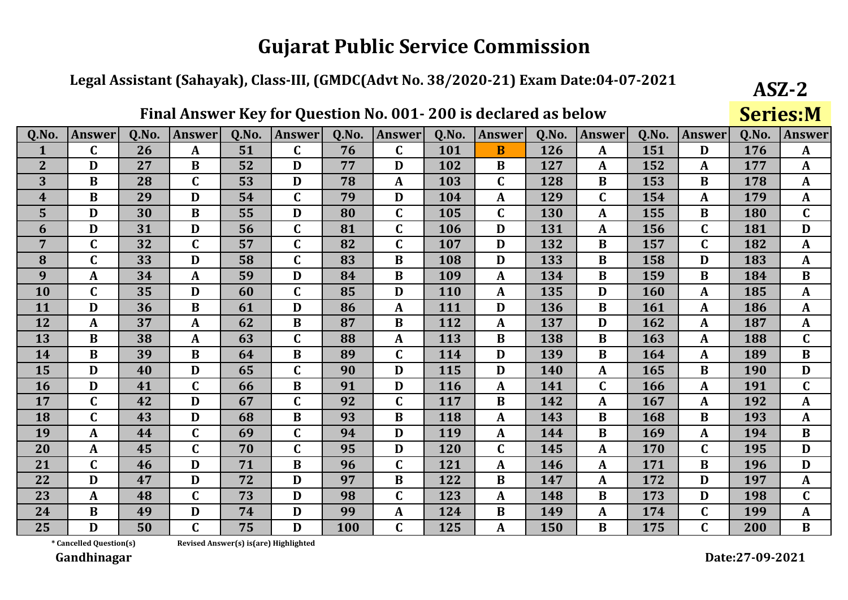#### Legal Assistant (Sahayak), Class-III, (GMDC(Advt No. 38/2020-21) Exam Date:04-07-2021

|                         |               |       |              |       |               |       | Final Answer Key for Question No. 001-200 is declared as below |       |                  |       |                  |       |                  |       | <b>Series:M</b> |
|-------------------------|---------------|-------|--------------|-------|---------------|-------|----------------------------------------------------------------|-------|------------------|-------|------------------|-------|------------------|-------|-----------------|
| Q.No.                   | <b>Answer</b> | Q.No. | Answer       | Q.No. | <b>Answer</b> | Q.No. | <b>Answer</b>                                                  | Q.No. | <b>Answer</b>    | Q.No. | Answer           | Q.No. | <b>Answer</b>    | Q.No. | <b>Answer</b>   |
| $\mathbf{1}$            | $\mathbf C$   | 26    | A            | 51    | $\mathbf C$   | 76    | $\mathbf C$                                                    | 101   | B                | 126   | $\boldsymbol{A}$ | 151   | D                | 176   | $\mathbf{A}$    |
| $\overline{2}$          | D             | 27    | $\bf{B}$     | 52    | D             | 77    | D                                                              | 102   | B                | 127   | $\mathbf{A}$     | 152   | A                | 177   | A               |
| 3                       | B             | 28    | $\mathbf C$  | 53    | D             | 78    | $\mathbf{A}$                                                   | 103   | $\mathbf C$      | 128   | B                | 153   | $\bf{B}$         | 178   | A               |
| $\overline{\mathbf{4}}$ | $\bf{B}$      | 29    | D            | 54    | $\mathbf C$   | 79    | D                                                              | 104   | $\boldsymbol{A}$ | 129   | $\mathbf C$      | 154   | $\mathbf{A}$     | 179   | $\mathbf{A}$    |
| $\overline{5}$          | D             | 30    | $\bf{B}$     | 55    | D             | 80    | $\mathbf C$                                                    | 105   | $\mathbf C$      | 130   | $\boldsymbol{A}$ | 155   | $\bf{B}$         | 180   | $\mathbf C$     |
| 6                       | D             | 31    | D            | 56    | $\mathbf C$   | 81    | $\mathbf C$                                                    | 106   | D                | 131   | $\mathbf{A}$     | 156   | $\mathbf C$      | 181   | D               |
| $\overline{7}$          | $\mathbf C$   | 32    | $\mathbf C$  | 57    | $\mathbf C$   | 82    | $\mathbf C$                                                    | 107   | D                | 132   | B                | 157   | $\mathbf C$      | 182   | $\mathbf{A}$    |
| 8                       | $\mathbf C$   | 33    | D            | 58    | $\mathbf C$   | 83    | B                                                              | 108   | D                | 133   | B                | 158   | D                | 183   | A               |
| 9                       | $\mathbf{A}$  | 34    | $\mathbf{A}$ | 59    | D             | 84    | $\bf{B}$                                                       | 109   | $\boldsymbol{A}$ | 134   | $\bf{B}$         | 159   | $\bf{B}$         | 184   | $\bf{B}$        |
| 10                      | $\mathbf C$   | 35    | D            | 60    | $\mathbf C$   | 85    | D                                                              | 110   | $\boldsymbol{A}$ | 135   | D                | 160   | $\boldsymbol{A}$ | 185   | $\mathbf{A}$    |
| <b>11</b>               | D             | 36    | B            | 61    | D             | 86    | $\mathbf{A}$                                                   | 111   | D                | 136   | B                | 161   | A                | 186   | A               |
| 12                      | $\mathbf A$   | 37    | $\mathbf{A}$ | 62    | $\bf{B}$      | 87    | B                                                              | 112   | A                | 137   | D                | 162   | $\mathbf{A}$     | 187   | $\mathbf{A}$    |
| 13                      | $\bf{B}$      | 38    | $\mathbf{A}$ | 63    | $\mathbf C$   | 88    | $\mathbf{A}$                                                   | 113   | B                | 138   | $\bf{B}$         | 163   | $\boldsymbol{A}$ | 188   | $\mathbf C$     |
| 14                      | $\bf{B}$      | 39    | $\bf{B}$     | 64    | $\bf{B}$      | 89    | $\mathbf C$                                                    | 114   | D                | 139   | $\bf{B}$         | 164   | $\mathbf{A}$     | 189   | $\bf{B}$        |
| 15                      | D             | 40    | D            | 65    | $\mathbf C$   | 90    | D                                                              | 115   | D                | 140   | $\mathbf{A}$     | 165   | B                | 190   | D               |
| 16                      | D             | 41    | $\mathbf C$  | 66    | $\bf{B}$      | 91    | D                                                              | 116   | A                | 141   | $\mathbf C$      | 166   | $\mathbf{A}$     | 191   | $\mathbf C$     |
| 17                      | $\mathbf C$   | 42    | D            | 67    | $\mathbf C$   | 92    | $\mathbf C$                                                    | 117   | B                | 142   | $\mathbf{A}$     | 167   | A                | 192   | A               |
| 18                      | $\mathbf C$   | 43    | D            | 68    | $\bf{B}$      | 93    | B                                                              | 118   | $\boldsymbol{A}$ | 143   | $\bf{B}$         | 168   | B                | 193   | $\mathbf{A}$    |
| 19                      | A             | 44    | $\mathbf C$  | 69    | $\mathbf C$   | 94    | D                                                              | 119   | A                | 144   | B                | 169   | A                | 194   | B               |
| 20                      | $\mathbf{A}$  | 45    | $\mathbf C$  | 70    | $\mathbf C$   | 95    | D                                                              | 120   | $\mathbf C$      | 145   | $\mathbf{A}$     | 170   | $\mathbf C$      | 195   | D               |
| 21                      | $\mathbf C$   | 46    | D            | 71    | $\bf{B}$      | 96    | $\mathbf C$                                                    | 121   | $\boldsymbol{A}$ | 146   | A                | 171   | $\bf{B}$         | 196   | D               |
| 22                      | D             | 47    | D            | 72    | D             | 97    | $\bf{B}$                                                       | 122   | B                | 147   | $\mathbf{A}$     | 172   | D                | 197   | $\mathbf{A}$    |
| 23                      | $\mathbf{A}$  | 48    | $\mathbf C$  | 73    | D             | 98    | $\mathbf C$                                                    | 123   | $\boldsymbol{A}$ | 148   | $\bf{B}$         | 173   | D                | 198   | $\mathbf C$     |
| 24                      | $\bf{B}$      | 49    | D            | 74    | D             | 99    | A                                                              | 124   | B                | 149   | A                | 174   | $\mathbf C$      | 199   | A               |
| 25                      | D             | 50    | $\mathbf C$  | 75    | D             | 100   | C                                                              | 125   | A                | 150   | B                | 175   | $\mathbf C$      | 200   | B               |

\* Cancelled Question(s)

Revised Answer(s) is(are) Highlighted

Gandhinagar

 $ASZ-2$ 

**Sariac.M**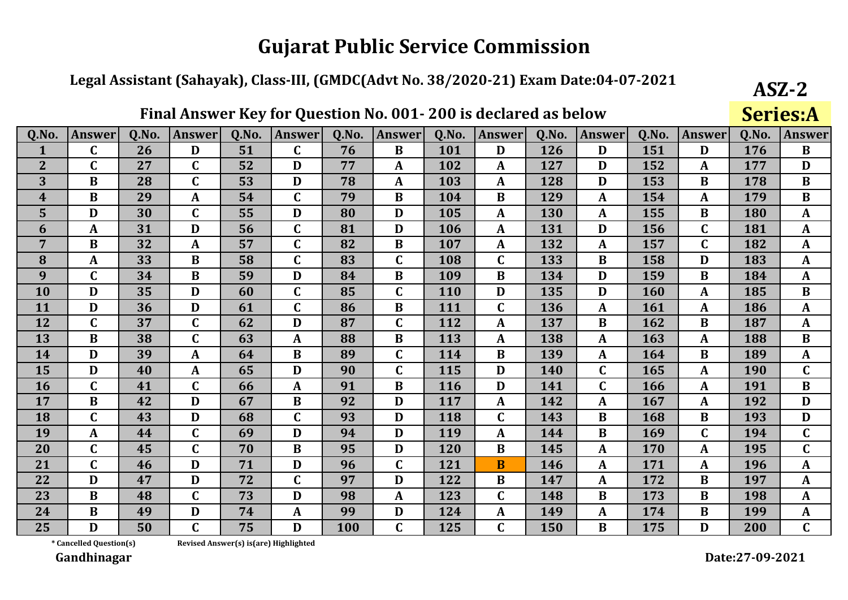#### Legal Assistant (Sahayak), Class-III, (GMDC(Advt No. 38/2020-21) Exam Date:04-07-2021

|                  |               |       | 1 11111 11111 11 U |       | 1VI.<br><b>Zucher</b> |       |                |            | ucciai cu        | <u>UY DEIQ II</u> |               |       |                  |       | <u>Del Iedili</u> |
|------------------|---------------|-------|--------------------|-------|-----------------------|-------|----------------|------------|------------------|-------------------|---------------|-------|------------------|-------|-------------------|
| Q.No.            | <b>Answer</b> | Q.No. | <b>Answer</b>      | Q.No. | <b>Answer</b>         | Q.No. | <b>Answer</b>  | Q.No.      | Answer           | Q.No.             | <b>Answer</b> | Q.No. | <b>Answer</b>    | 0.No. | <b>Answer</b>     |
|                  | C             | 26    | D                  | 51    | $\mathbf C$           | 76    | B              | 101        | D                | 126               | D             | 151   | D                | 176   | $\bf{B}$          |
| $\overline{2}$   | $\mathbf C$   | 27    | $\mathbf C$        | 52    | D                     | 77    | $\mathbf{A}$   | 102        | $\boldsymbol{A}$ | 127               | D             | 152   | A                | 177   | D                 |
| 3                | $\bf{B}$      | 28    | $\mathbf C$        | 53    | D                     | 78    | $\mathbf{A}$   | 103        | A                | 128               | D             | 153   | B                | 178   | $\bf{B}$          |
| $\boldsymbol{4}$ | $\bf{B}$      | 29    | $\mathbf{A}$       | 54    | $\mathbf C$           | 79    | $\bf{B}$       | 104        | B                | 129               | $\mathbf{A}$  | 154   | A                | 179   | $\bf{B}$          |
| 5                | D             | 30    | $\mathbf C$        | 55    | D                     | 80    | D              | 105        | A                | 130               | A             | 155   | $\bf{B}$         | 180   | A                 |
| 6                | A             | 31    | $\mathbf{D}$       | 56    | $\mathbf C$           | 81    | D              | 106        | $\mathbf{A}$     | 131               | D             | 156   | $\mathbf C$      | 181   | $\mathbf{A}$      |
| $\overline{7}$   | B             | 32    | $\mathbf A$        | 57    | $\mathbf C$           | 82    | $\bf{B}$       | 107        | A                | 132               | A             | 157   | $\mathbf C$      | 182   | $\mathbf A$       |
| 8                | $\mathbf{A}$  | 33    | $\bf{B}$           | 58    | $\mathbf C$           | 83    | $\mathbf C$    | 108        | $\mathbf C$      | 133               | $\bf{B}$      | 158   | D                | 183   | $\mathbf{A}$      |
| 9                | $\mathbf C$   | 34    | B                  | 59    | D                     | 84    | B              | 109        | $\bf{B}$         | 134               | D             | 159   | B                | 184   | $\mathbf{A}$      |
| 10               | D             | 35    | D                  | 60    | $\mathbf C$           | 85    | $\mathsf{C}$   | <b>110</b> | D                | 135               | D             | 160   | A                | 185   | $\bf{B}$          |
| 11               | D             | 36    | D                  | 61    | $\mathbf C$           | 86    | $\bf{B}$       | 111        | $\mathbf C$      | 136               | $\mathbf{A}$  | 161   | A                | 186   | $\mathbf{A}$      |
| 12               | $\mathbf C$   | 37    | $\mathbf C$        | 62    | D                     | 87    | $\mathbf C$    | 112        | A                | 137               | B             | 162   | $\bf{B}$         | 187   | $\mathbf{A}$      |
| 13               | B             | 38    | $\mathbf C$        | 63    | A                     | 88    | $\bf{B}$       | 113        | A                | 138               | A             | 163   | $\boldsymbol{A}$ | 188   | $\bf{B}$          |
| 14               | D             | 39    | A                  | 64    | $\bf{B}$              | 89    | $\mathbf C$    | 114        | $\bf{B}$         | 139               | A             | 164   | $\bf{B}$         | 189   | $\mathbf{A}$      |
| 15               | D             | 40    | A                  | 65    | D                     | 90    | $\overline{C}$ | 115        | D                | 140               | $\mathbf C$   | 165   | $\mathbf A$      | 190   | $\mathbf C$       |
| 16               | $\mathbf C$   | 41    | $\mathbf C$        | 66    | A                     | 91    | B              | 116        | D                | 141               | $\mathbf C$   | 166   | $\boldsymbol{A}$ | 191   | B                 |
| 17               | $\bf{B}$      | 42    | D                  | 67    | $\bf{B}$              | 92    | D              | 117        | A                | 142               | A             | 167   | $\mathbf{A}$     | 192   | D                 |
| 18               | $\mathbf C$   | 43    | D                  | 68    | $\mathbf C$           | 93    | D              | 118        | $\mathbf C$      | 143               | $\bf{B}$      | 168   | $\bf{B}$         | 193   | D                 |
| 19               | A             | 44    | $\mathbf C$        | 69    | D                     | 94    | D              | 119        | A                | 144               | B             | 169   | $\mathbf C$      | 194   | $\mathbf C$       |
| 20               | $\mathbf C$   | 45    | $\mathbf C$        | 70    | $\bf{B}$              | 95    | D              | 120        | $\bf{B}$         | 145               | A             | 170   | A                | 195   | $\mathbf C$       |
| 21               | $\mathbf C$   | 46    | D                  | 71    | D                     | 96    | $\mathbf C$    | 121        | $\bf{B}$         | 146               | A             | 171   | $\boldsymbol{A}$ | 196   | $\mathbf{A}$      |
| 22               | D             | 47    | D                  | 72    | $\mathbf C$           | 97    | D              | 122        | $\bf{B}$         | 147               | A             | 172   | B                | 197   | $\mathbf{A}$      |
| 23               | $\bf{B}$      | 48    | $\mathbf C$        | 73    | D                     | 98    | $\mathbf{A}$   | 123        | $\mathbf C$      | 148               | B             | 173   | B                | 198   | A                 |
| 24               | $\bf{B}$      | 49    | D                  | 74    | A                     | 99    | D              | 124        | A                | 149               | A             | 174   | $\bf{B}$         | 199   | $\mathbf A$       |
| 25               | D             | 50    | $\mathbf C$        | 75    | D                     | 100   | C.             | 125        | $\mathbf C$      | 150               | B             | 175   | D                | 200   | $\mathbf{C}$      |

Final Answer Key for Question No. 001-200 is declared as helow

\* Cancelled Question(s)

Revised Answer(s) is(are) Highlighted

Gandhinagar

 $ASZ-2$ 

 $Cariac A$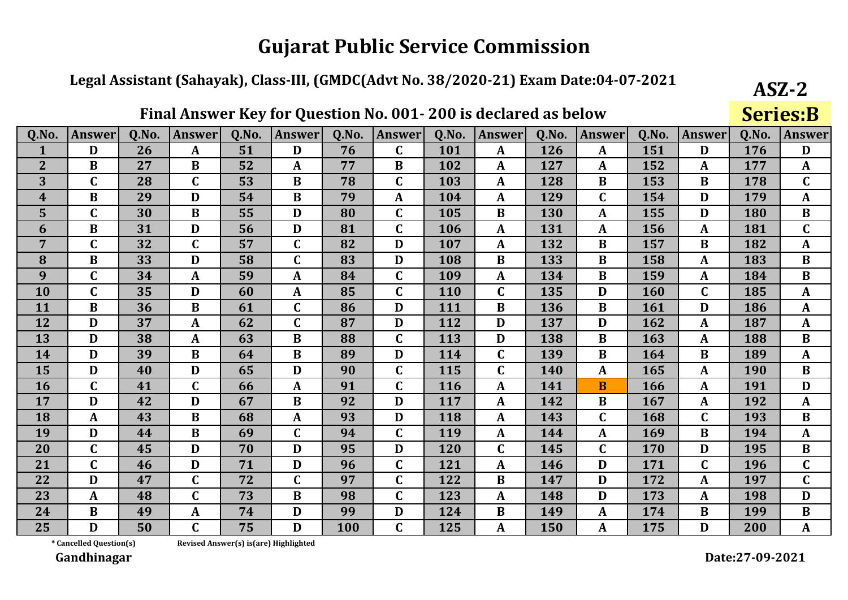#### Legal Assistant (Sahayak), Class-III, (GMDC(Advt No. 38/2020-21) Exam Date:04-07-2021

|                         |               |       | 1 11141 11113WC1 | $\mathbf{IV}$ | <b>TOT GACALION</b> |       | 1101<br><u>vvi</u> | 20015 | <u>UCCIAL CU AJ DUIU II</u> |       |               |       |                         |       | <b>DETICO'D</b>  |
|-------------------------|---------------|-------|------------------|---------------|---------------------|-------|--------------------|-------|-----------------------------|-------|---------------|-------|-------------------------|-------|------------------|
| Q.No.                   | <b>Answer</b> | Q.No. | <b>Answer</b>    | Q.No.         | <b>Answer</b>       | Q.No. | <b>Answer</b>      | Q.No. | <b>Answer</b>               | Q.No. | <b>Answer</b> | Q.No. | <b>Answer</b>           | Q.No. | <b>Answer</b>    |
|                         | D             | 26    | $\mathbf{A}$     | 51            | D                   | 76    | C                  | 101   | $\mathbf{A}$                | 126   | A             | 151   | D                       | 176   | D                |
| $\overline{2}$          | $\bf{B}$      | 27    | $\bf{B}$         | 52            | $\boldsymbol{A}$    | 77    | $\bf{B}$           | 102   | $\boldsymbol{A}$            | 127   | A             | 152   | A                       | 177   | $\mathbf{A}$     |
| 3                       | $\mathbf C$   | 28    | $\mathbf C$      | 53            | $\bf{B}$            | 78    | $\mathbf C$        | 103   | A                           | 128   | $\bf{B}$      | 153   | B                       | 178   | $\mathbf C$      |
| $\overline{\mathbf{4}}$ | $\bf{B}$      | 29    | D                | 54            | $\bf{B}$            | 79    | A                  | 104   | A                           | 129   | $\mathbf C$   | 154   | D                       | 179   | A                |
| 5 <sup>5</sup>          | $\mathsf C$   | 30    | $\bf{B}$         | 55            | D                   | 80    | $\mathsf C$        | 105   | $\bf{B}$                    | 130   | A             | 155   | D                       | 180   | $\bf{B}$         |
| 6                       | $\bf{B}$      | 31    | D                | 56            | D                   | 81    | $\mathbf C$        | 106   | $\boldsymbol{A}$            | 131   | A             | 156   | A                       | 181   | $\mathbf C$      |
| $\overline{7}$          | $\mathbf C$   | 32    | $\mathbf C$      | 57            | $\mathbf C$         | 82    | D                  | 107   | $\mathbf{A}$                | 132   | B             | 157   | B                       | 182   | $\mathbf{A}$     |
| 8                       | $\bf{B}$      | 33    | $\mathbf{D}$     | 58            | $\mathbf C$         | 83    | D                  | 108   | B                           | 133   | $\bf{B}$      | 158   | $\mathbf{A}$            | 183   | $\bf{B}$         |
| 9                       | $\mathbf C$   | 34    | A                | 59            | A                   | 84    | $\mathbf C$        | 109   | A                           | 134   | $\bf{B}$      | 159   | A                       | 184   | $\bf{B}$         |
| 10                      | $\mathbf C$   | 35    | D                | 60            | A                   | 85    | $\mathbf C$        | 110   | $\mathbf C$                 | 135   | D             | 160   | $\mathbf C$             | 185   | A                |
| 11                      | $\bf{B}$      | 36    | $\bf{B}$         | 61            | $\mathbf C$         | 86    | D                  | 111   | $\bf{B}$                    | 136   | $\bf{B}$      | 161   | D                       | 186   | $\mathbf{A}$     |
| 12                      | D             | 37    | A                | 62            | $\mathbf C$         | 87    | D                  | 112   | D                           | 137   | D             | 162   | $\boldsymbol{A}$        | 187   | A                |
| 13                      | D             | 38    | A                | 63            | B                   | 88    | $\mathbf C$        | 113   | D                           | 138   | B             | 163   | $\boldsymbol{A}$        | 188   | $\bf{B}$         |
| 14                      | D             | 39    | $\bf{B}$         | 64            | $\bf{B}$            | 89    | D                  | 114   | $\mathbf C$                 | 139   | $\bf{B}$      | 164   | $\bf{B}$                | 189   | $\boldsymbol{A}$ |
| 15                      | D             | 40    | D                | 65            | D                   | 90    | $\mathbf C$        | 115   | $\mathbf C$                 | 140   | A             | 165   | $\overline{\mathbf{A}}$ | 190   | $\bf{B}$         |
| 16                      | $\mathbf C$   | 41    | $\mathbf C$      | 66            | $\boldsymbol{A}$    | 91    | $\mathbf C$        | 116   | A                           | 141   | $\mathbf{B}$  | 166   | A                       | 191   | D                |
| 17                      | D             | 42    | D                | 67            | $\bf{B}$            | 92    | D                  | 117   | A                           | 142   | B             | 167   | $\mathbf{A}$            | 192   | A                |
| 18                      | A             | 43    | $\bf{B}$         | 68            | A                   | 93    | D                  | 118   | A                           | 143   | C             | 168   | $\mathbf C$             | 193   | $\bf{B}$         |
| 19                      | D             | 44    | $\bf{B}$         | 69            | $\mathbf C$         | 94    | $\mathbf C$        | 119   | A                           | 144   | A             | 169   | $\bf{B}$                | 194   | $\mathbf A$      |
| 20                      | $\mathbf C$   | 45    | $\mathbf{D}$     | 70            | D                   | 95    | D                  | 120   | $\mathbf C$                 | 145   | $\mathbf C$   | 170   | D                       | 195   | $\bf{B}$         |
| 21                      | $\mathbf C$   | 46    | D                | 71            | D                   | 96    | $\mathbf C$        | 121   | $\boldsymbol{A}$            | 146   | D             | 171   | $\mathbf C$             | 196   | $\mathbf C$      |
| 22                      | D             | 47    | $\mathbf C$      | 72            | $\mathbf C$         | 97    | $\mathbf C$        | 122   | $\bf{B}$                    | 147   | D             | 172   | A                       | 197   | $\mathbf C$      |
| 23                      | $\mathbf{A}$  | 48    | $\mathbf C$      | 73            | $\bf{B}$            | 98    | $\mathsf C$        | 123   | A                           | 148   | D             | 173   | A                       | 198   | D                |
| 24                      | $\bf{B}$      | 49    | $\mathbf A$      | 74            | D                   | 99    | D                  | 124   | $\bf{B}$                    | 149   | A             | 174   | $\bf{B}$                | 199   | $\bf{B}$         |
| 25                      | D             | 50    | $\mathbf C$      | 75            | D                   | 100   | C.                 | 125   | A                           | 150   |               | 175   | D                       | 200   | A                |

Final Answer Key for Question No. 001-200 is declared as helow

\* Cancelled Question(s)

Revised Answer(s) is(are) Highlighted

Gandhinagar

 $ASZ-2$ 

 $Cariac-R$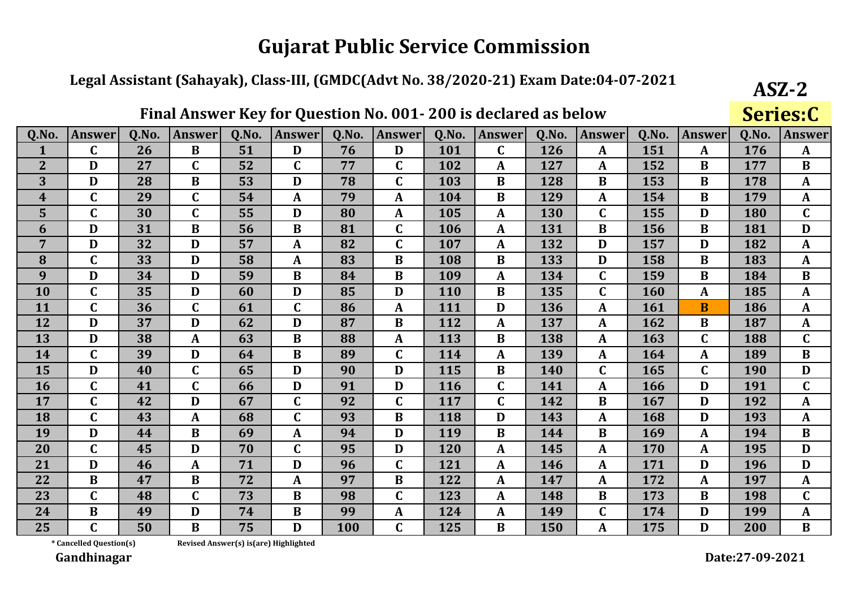#### Legal Assistant (Sahayak), Class-III, (GMDC(Advt No. 38/2020-21) Exam Date:04-07-2021

|                         |               |       | 1 11111 11111 11 U |       | 1VI.<br><b>Zucher</b> |       |               |       | ucciai cu        | <b>UP DEIGHT</b> |               |       |                         |       | <b>DELICOIL</b> |
|-------------------------|---------------|-------|--------------------|-------|-----------------------|-------|---------------|-------|------------------|------------------|---------------|-------|-------------------------|-------|-----------------|
| Q.No.                   | <b>Answer</b> | Q.No. | <b>Answer</b>      | Q.No. | <b>Answer</b>         | Q.No. | <b>Answer</b> | Q.No. | Answer           | Q.No.            | <b>Answer</b> | Q.No. | <b>Answer</b>           | 0.No. | <b>Answer</b>   |
|                         | C             | 26    | $\bf{B}$           | 51    | D                     | 76    | D             | 101   | $\mathbf C$      | 126              | A             | 151   | $\boldsymbol{A}$        | 176   | $\mathbf{A}$    |
| $\overline{2}$          | D             | 27    | $\mathbf C$        | 52    | $\mathbf C$           | 77    | $\mathbf C$   | 102   | $\boldsymbol{A}$ | 127              | A             | 152   | B                       | 177   | $\bf{B}$        |
| 3                       | D             | 28    | $\bf{B}$           | 53    | D                     | 78    | $\mathbf C$   | 103   | B                | 128              | B             | 153   | B                       | 178   | A               |
| $\overline{\mathbf{4}}$ | $\mathbf C$   | 29    | $\mathbf C$        | 54    | A                     | 79    | $\mathbf{A}$  | 104   | B                | 129              | $\mathbf{A}$  | 154   | $\bf{B}$                | 179   | $\mathbf{A}$    |
| 5                       | $\mathbf C$   | 30    | $\mathbf C$        | 55    | D                     | 80    | $\mathbf A$   | 105   | A                | 130              | $\mathbf C$   | 155   | D                       | 180   | $\mathbf C$     |
| 6                       | D             | 31    | $\bf{B}$           | 56    | $\bf{B}$              | 81    | $\mathbf C$   | 106   | $\boldsymbol{A}$ | 131              | B             | 156   | $\bf{B}$                | 181   | $\mathbf{D}$    |
| $\overline{7}$          | D             | 32    | D                  | 57    | A                     | 82    | $\mathbf C$   | 107   | A                | 132              | D             | 157   | D                       | 182   | $\mathbf A$     |
| 8                       | $\mathbf C$   | 33    | D                  | 58    | A                     | 83    | $\bf{B}$      | 108   | $\bf{B}$         | 133              | D             | 158   | $\bf{B}$                | 183   | $\mathbf{A}$    |
| 9                       | D             | 34    | D                  | 59    | $\bf{B}$              | 84    | $\bf{B}$      | 109   | $\boldsymbol{A}$ | 134              | $\mathbf C$   | 159   | $\bf{B}$                | 184   | $\bf{B}$        |
| 10                      | $\mathbf C$   | 35    | D                  | 60    | D                     | 85    | D             | 110   | B                | 135              | C             | 160   | $\boldsymbol{A}$        | 185   | $\mathbf{A}$    |
| 11                      | C             | 36    | $\mathbf C$        | 61    | $\mathbf C$           | 86    | $\mathbf{A}$  | 111   | D                | 136              | $\mathbf{A}$  | 161   | $\overline{\mathbf{B}}$ | 186   | $\mathbf{A}$    |
| 12                      | D             | 37    | D                  | 62    | D                     | 87    | B             | 112   | A                | 137              | A             | 162   | $\bf{B}$                | 187   | $\mathbf{A}$    |
| 13                      | D             | 38    | A                  | 63    | B                     | 88    | $\mathbf{A}$  | 113   | $\bf{B}$         | 138              | A             | 163   | $\mathbf C$             | 188   | $\mathbf C$     |
| 14                      | $\mathbf C$   | 39    | $\mathbf{D}$       | 64    | $\bf{B}$              | 89    | $\mathbf C$   | 114   | $\mathbf{A}$     | 139              | A             | 164   | $\mathbf{A}$            | 189   | $\bf{B}$        |
| 15                      | D             | 40    | $\mathbf C$        | 65    | D                     | 90    | D             | 115   | $\bf{B}$         | 140              | $\mathbf C$   | 165   | $\mathbf C$             | 190   | $\mathbf{D}$    |
| 16                      | $\mathsf C$   | 41    | $\mathbf C$        | 66    | D                     | 91    | D             | 116   | $\mathbf C$      | 141              | $\mathbf{A}$  | 166   | D                       | 191   | $\mathbf C$     |
| 17                      | $\mathsf C$   | 42    | D                  | 67    | $\mathbf C$           | 92    | $\mathbf C$   | 117   | $\mathbf C$      | 142              | $\bf{B}$      | 167   | D                       | 192   | $\mathbf{A}$    |
| 18                      | $\mathbf C$   | 43    | $\mathbf A$        | 68    | $\mathbf C$           | 93    | $\bf{B}$      | 118   | D                | 143              | A             | 168   | D                       | 193   | $\mathbf{A}$    |
| 19                      | D             | 44    | $\bf{B}$           | 69    | A                     | 94    | D             | 119   | B                | 144              | $\bf{B}$      | 169   | $\mathbf{A}$            | 194   | $\bf{B}$        |
| 20                      | $\mathbf C$   | 45    | $\mathbf{D}$       | 70    | $\mathbf C$           | 95    | D             | 120   | $\mathbf{A}$     | 145              | A             | 170   | A                       | 195   | $\mathbf{D}$    |
| 21                      | D             | 46    | A                  | 71    | D                     | 96    | $\mathbf C$   | 121   | $\mathbf{A}$     | 146              | A             | 171   | D                       | 196   | D               |
| 22                      | $\bf{B}$      | 47    | B                  | 72    | A                     | 97    | B             | 122   | A                | 147              | A             | 172   | A                       | 197   | A               |
| 23                      | C             | 48    | $\mathbf C$        | 73    | $\bf{B}$              | 98    | $\mathsf C$   | 123   | A                | 148              | $\bf{B}$      | 173   | $\bf{B}$                | 198   | $\mathbf C$     |
| 24                      | $\bf{B}$      | 49    | D                  | 74    | $\bf{B}$              | 99    | A             | 124   | A                | 149              | C             | 174   | D                       | 199   | $\mathbf A$     |
| 25                      | $\mathsf{C}$  | 50    | $\bf{B}$           | 75    | D                     | 100   | $\mathbf{C}$  | 125   | B                | 150              | A             | 175   | D                       | 200   | $\bf{B}$        |

Final Answer Key for Question No. 001-200 is declared as helow

\* Cancelled Question(s)

Revised Answer(s) is(are) Highlighted

Gandhinagar

 $ASZ-2$ 

 $CariacC$